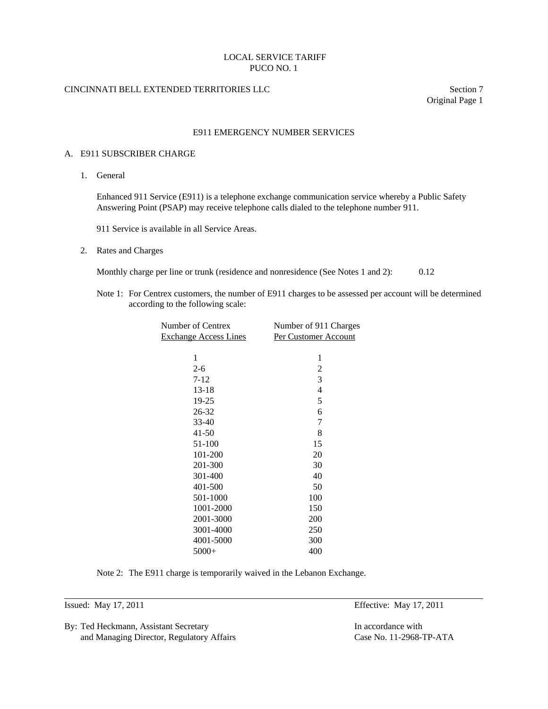#### CINCINNATI BELL EXTENDED TERRITORIES LLC Section 7

Original Page 1

#### E911 EMERGENCY NUMBER SERVICES

#### A. E911 SUBSCRIBER CHARGE

1. General

 Enhanced 911 Service (E911) is a telephone exchange communication service whereby a Public Safety Answering Point (PSAP) may receive telephone calls dialed to the telephone number 911.

911 Service is available in all Service Areas.

2. Rates and Charges

Monthly charge per line or trunk (residence and nonresidence (See Notes 1 and 2): 0.12

 Note 1: For Centrex customers, the number of E911 charges to be assessed per account will be determined according to the following scale:

| Number of Centrex            |                      |
|------------------------------|----------------------|
| <b>Exchange Access Lines</b> | Per Customer Account |
|                              |                      |
| 1                            | 1                    |
| $2 - 6$                      | $\overline{2}$       |
| $7 - 12$                     | 3                    |
| $13-18$                      | 4                    |
| 19-25                        | 5                    |
| 26-32                        | 6                    |
| 33-40                        | 7                    |
| $41 - 50$                    | 8                    |
| 51-100                       | 15                   |
| 101-200                      | 20                   |
| 201-300                      | 30                   |
| 301-400                      | 40                   |
| 401-500                      | 50                   |
| 501-1000                     | 100                  |
| 1001-2000                    | 150                  |
| 2001-3000                    | 200                  |
| 3001-4000                    | 250                  |
| 4001-5000                    | 300                  |
| $5000+$                      | 400                  |
|                              |                      |

Note 2: The E911 charge is temporarily waived in the Lebanon Exchange.

l

By: Ted Heckmann, Assistant Secretary **In accordance with** In accordance with and Managing Director, Regulatory Affairs Case No. 11-2968-TP-ATA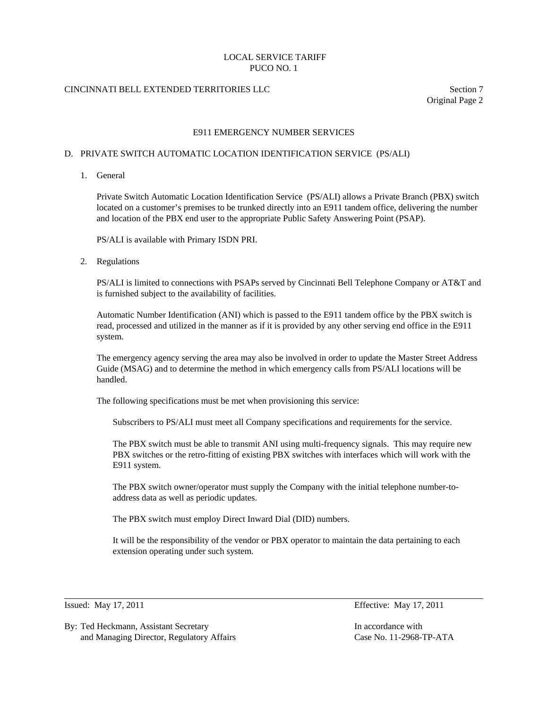# CINCINNATI BELL EXTENDED TERRITORIES LLC Section 7

Original Page 2

## E911 EMERGENCY NUMBER SERVICES

#### D. PRIVATE SWITCH AUTOMATIC LOCATION IDENTIFICATION SERVICE (PS/ALI)

1. General

 Private Switch Automatic Location Identification Service (PS/ALI) allows a Private Branch (PBX) switch located on a customer's premises to be trunked directly into an E911 tandem office, delivering the number and location of the PBX end user to the appropriate Public Safety Answering Point (PSAP).

PS/ALI is available with Primary ISDN PRI.

2. Regulations

 PS/ALI is limited to connections with PSAPs served by Cincinnati Bell Telephone Company or AT&T and is furnished subject to the availability of facilities.

 Automatic Number Identification (ANI) which is passed to the E911 tandem office by the PBX switch is read, processed and utilized in the manner as if it is provided by any other serving end office in the E911 system.

 The emergency agency serving the area may also be involved in order to update the Master Street Address Guide (MSAG) and to determine the method in which emergency calls from PS/ALI locations will be handled.

The following specifications must be met when provisioning this service:

Subscribers to PS/ALI must meet all Company specifications and requirements for the service.

 The PBX switch must be able to transmit ANI using multi-frequency signals. This may require new PBX switches or the retro-fitting of existing PBX switches with interfaces which will work with the E911 system.

 The PBX switch owner/operator must supply the Company with the initial telephone number-toaddress data as well as periodic updates.

The PBX switch must employ Direct Inward Dial (DID) numbers.

 It will be the responsibility of the vendor or PBX operator to maintain the data pertaining to each extension operating under such system.

 $\overline{a}$ 

By: Ted Heckmann, Assistant Secretary **In accordance with** In accordance with and Managing Director, Regulatory Affairs Case No. 11-2968-TP-ATA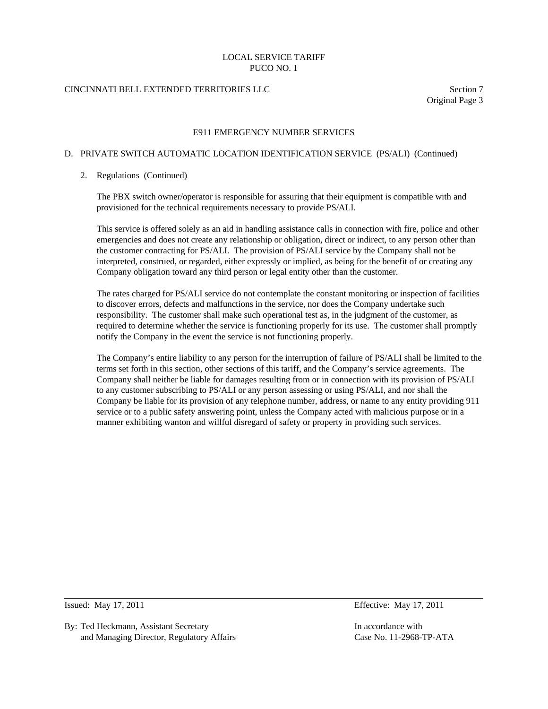## CINCINNATI BELL EXTENDED TERRITORIES LLC Section 7

Original Page 3

#### E911 EMERGENCY NUMBER SERVICES

## D. PRIVATE SWITCH AUTOMATIC LOCATION IDENTIFICATION SERVICE (PS/ALI) (Continued)

#### 2. Regulations (Continued)

 The PBX switch owner/operator is responsible for assuring that their equipment is compatible with and provisioned for the technical requirements necessary to provide PS/ALI.

 This service is offered solely as an aid in handling assistance calls in connection with fire, police and other emergencies and does not create any relationship or obligation, direct or indirect, to any person other than the customer contracting for PS/ALI. The provision of PS/ALI service by the Company shall not be interpreted, construed, or regarded, either expressly or implied, as being for the benefit of or creating any Company obligation toward any third person or legal entity other than the customer.

 The rates charged for PS/ALI service do not contemplate the constant monitoring or inspection of facilities to discover errors, defects and malfunctions in the service, nor does the Company undertake such responsibility. The customer shall make such operational test as, in the judgment of the customer, as required to determine whether the service is functioning properly for its use. The customer shall promptly notify the Company in the event the service is not functioning properly.

 The Company's entire liability to any person for the interruption of failure of PS/ALI shall be limited to the terms set forth in this section, other sections of this tariff, and the Company's service agreements. The Company shall neither be liable for damages resulting from or in connection with its provision of PS/ALI to any customer subscribing to PS/ALI or any person assessing or using PS/ALI, and nor shall the Company be liable for its provision of any telephone number, address, or name to any entity providing 911 service or to a public safety answering point, unless the Company acted with malicious purpose or in a manner exhibiting wanton and willful disregard of safety or property in providing such services.

 $\overline{a}$ 

By: Ted Heckmann, Assistant Secretary **In accordance with** In accordance with and Managing Director, Regulatory Affairs Case No. 11-2968-TP-ATA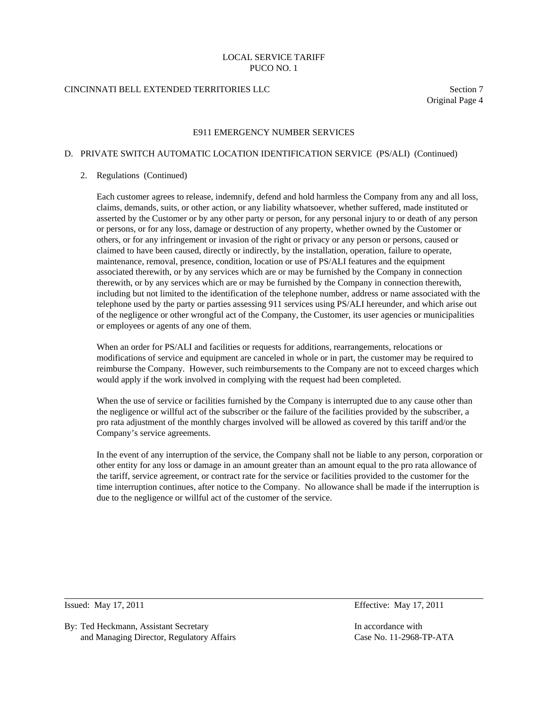## CINCINNATI BELL EXTENDED TERRITORIES LLC Section 7

Original Page 4

#### E911 EMERGENCY NUMBER SERVICES

## D. PRIVATE SWITCH AUTOMATIC LOCATION IDENTIFICATION SERVICE (PS/ALI) (Continued)

#### 2. Regulations (Continued)

 Each customer agrees to release, indemnify, defend and hold harmless the Company from any and all loss, claims, demands, suits, or other action, or any liability whatsoever, whether suffered, made instituted or asserted by the Customer or by any other party or person, for any personal injury to or death of any person or persons, or for any loss, damage or destruction of any property, whether owned by the Customer or others, or for any infringement or invasion of the right or privacy or any person or persons, caused or claimed to have been caused, directly or indirectly, by the installation, operation, failure to operate, maintenance, removal, presence, condition, location or use of PS/ALI features and the equipment associated therewith, or by any services which are or may be furnished by the Company in connection therewith, or by any services which are or may be furnished by the Company in connection therewith, including but not limited to the identification of the telephone number, address or name associated with the telephone used by the party or parties assessing 911 services using PS/ALI hereunder, and which arise out of the negligence or other wrongful act of the Company, the Customer, its user agencies or municipalities or employees or agents of any one of them.

 When an order for PS/ALI and facilities or requests for additions, rearrangements, relocations or modifications of service and equipment are canceled in whole or in part, the customer may be required to reimburse the Company. However, such reimbursements to the Company are not to exceed charges which would apply if the work involved in complying with the request had been completed.

When the use of service or facilities furnished by the Company is interrupted due to any cause other than the negligence or willful act of the subscriber or the failure of the facilities provided by the subscriber, a pro rata adjustment of the monthly charges involved will be allowed as covered by this tariff and/or the Company's service agreements.

 In the event of any interruption of the service, the Company shall not be liable to any person, corporation or other entity for any loss or damage in an amount greater than an amount equal to the pro rata allowance of the tariff, service agreement, or contract rate for the service or facilities provided to the customer for the time interruption continues, after notice to the Company. No allowance shall be made if the interruption is due to the negligence or willful act of the customer of the service.

 $\overline{a}$ 

Issued: May 17, 2011 Effective: May 17, 2011

By: Ted Heckmann, Assistant Secretary **In accordance with** In accordance with and Managing Director, Regulatory Affairs Case No. 11-2968-TP-ATA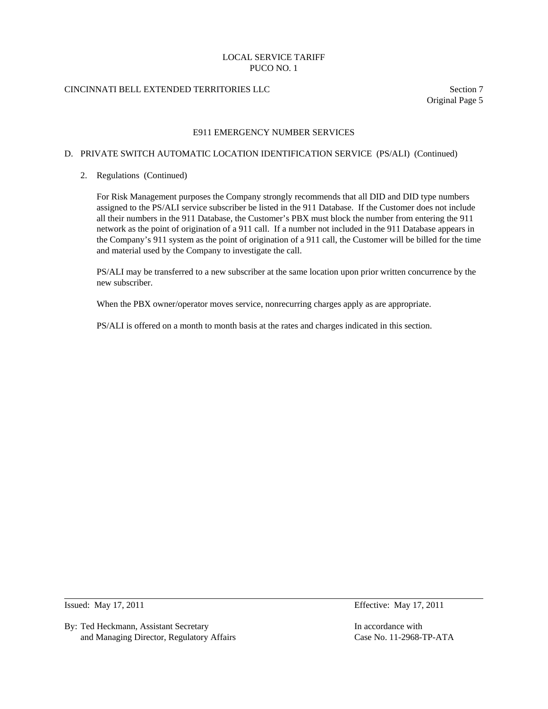## CINCINNATI BELL EXTENDED TERRITORIES LLC Section 7

Original Page 5

#### E911 EMERGENCY NUMBER SERVICES

#### D. PRIVATE SWITCH AUTOMATIC LOCATION IDENTIFICATION SERVICE (PS/ALI) (Continued)

2. Regulations (Continued)

 For Risk Management purposes the Company strongly recommends that all DID and DID type numbers assigned to the PS/ALI service subscriber be listed in the 911 Database. If the Customer does not include all their numbers in the 911 Database, the Customer's PBX must block the number from entering the 911 network as the point of origination of a 911 call. If a number not included in the 911 Database appears in the Company's 911 system as the point of origination of a 911 call, the Customer will be billed for the time and material used by the Company to investigate the call.

 PS/ALI may be transferred to a new subscriber at the same location upon prior written concurrence by the new subscriber.

When the PBX owner/operator moves service, nonrecurring charges apply as are appropriate.

PS/ALI is offered on a month to month basis at the rates and charges indicated in this section.

 $\overline{a}$ 

By: Ted Heckmann, Assistant Secretary **In accordance with** In accordance with and Managing Director, Regulatory Affairs Case No. 11-2968-TP-ATA